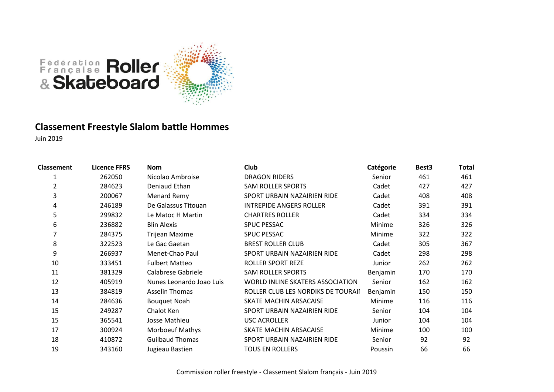

### **Classement Freestyle Slalom battle Hommes**

| <b>Classement</b> | <b>Licence FFRS</b> | <b>Nom</b>               | Club                               | Catégorie | Best <sub>3</sub> | <b>Total</b> |
|-------------------|---------------------|--------------------------|------------------------------------|-----------|-------------------|--------------|
| 1                 | 262050              | Nicolao Ambroise         | <b>DRAGON RIDERS</b>               | Senior    | 461               | 461          |
| $\overline{2}$    | 284623              | Deniaud Ethan            | <b>SAM ROLLER SPORTS</b>           | Cadet     | 427               | 427          |
| 3                 | 200067              | Menard Remy              | SPORT URBAIN NAZAIRIEN RIDE        | Cadet     | 408               | 408          |
| 4                 | 246189              | De Galassus Titouan      | <b>INTREPIDE ANGERS ROLLER</b>     | Cadet     | 391               | 391          |
| 5                 | 299832              | Le Matoc H Martin        | <b>CHARTRES ROLLER</b>             | Cadet     | 334               | 334          |
| 6                 | 236882              | <b>Blin Alexis</b>       | <b>SPUC PESSAC</b>                 | Minime    | 326               | 326          |
|                   | 284375              | Trijean Maxime           | <b>SPUC PESSAC</b>                 | Minime    | 322               | 322          |
| 8                 | 322523              | Le Gac Gaetan            | <b>BREST ROLLER CLUB</b>           | Cadet     | 305               | 367          |
| 9                 | 266937              | Menet-Chao Paul          | SPORT URBAIN NAZAIRIEN RIDE        | Cadet     | 298               | 298          |
| 10                | 333451              | <b>Fulbert Matteo</b>    | <b>ROLLER SPORT REZE</b>           | Junior    | 262               | 262          |
| 11                | 381329              | Calabrese Gabriele       | <b>SAM ROLLER SPORTS</b>           | Benjamin  | 170               | 170          |
| 12                | 405919              | Nunes Leonardo Joao Luis | WORLD INLINE SKATERS ASSOCIATION   | Senior    | 162               | 162          |
| 13                | 384819              | <b>Asselin Thomas</b>    | ROLLER CLUB LES NORDIKS DE TOURAII | Benjamin  | 150               | 150          |
| 14                | 284636              | <b>Bouquet Noah</b>      | SKATE MACHIN ARSACAISE             | Minime    | 116               | 116          |
| 15                | 249287              | Chalot Ken               | SPORT URBAIN NAZAIRIEN RIDE        | Senior    | 104               | 104          |
| 15                | 365541              | Josse Mathieu            | USC ACROLLER                       | Junior    | 104               | 104          |
| 17                | 300924              | <b>Morboeuf Mathys</b>   | SKATE MACHIN ARSACAISE             | Minime    | 100               | 100          |
| 18                | 410872              | <b>Guilbaud Thomas</b>   | SPORT URBAIN NAZAIRIEN RIDE        | Senior    | 92                | 92           |
| 19                | 343160              | Jugieau Bastien          | <b>TOUS EN ROLLERS</b>             | Poussin   | 66                | 66           |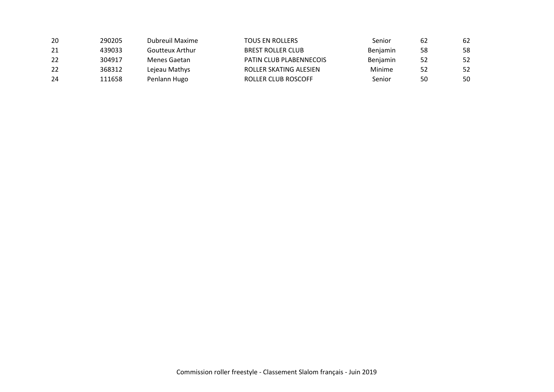| -20 | 290205 | Dubreuil Maxime | TOUS EN ROLLERS         | Senior          | 62 | 62 |
|-----|--------|-----------------|-------------------------|-----------------|----|----|
| 21  | 439033 | Goutteux Arthur | BREST ROLLER CLUB       | <b>Beniamin</b> | 58 | 58 |
| 22  | 304917 | Menes Gaetan    | PATIN CLUB PLABENNECOIS | <b>Benjamin</b> | 52 | 52 |
| 22  | 368312 | Lejeau Mathys   | ROLLER SKATING ALESIEN  | Minime          | 52 | 52 |
| 24  | 111658 | Penlann Hugo    | ROLLER CLUB ROSCOFF     | Senior          | 50 | 50 |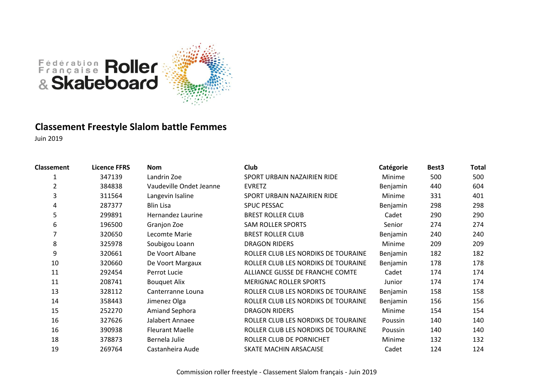

### **Classement Freestyle Slalom battle Femmes**

| <b>Classement</b> | <b>Licence FFRS</b> | <b>Nom</b>              | Club                                | Catégorie       | Best <sub>3</sub> | Total |
|-------------------|---------------------|-------------------------|-------------------------------------|-----------------|-------------------|-------|
|                   | 347139              | Landrin Zoe             | SPORT URBAIN NAZAIRIEN RIDE         | Minime          | 500               | 500   |
| $\overline{2}$    | 384838              | Vaudeville Ondet Jeanne | <b>EVRETZ</b>                       | Benjamin        | 440               | 604   |
| 3                 | 311564              | Langevin Isaline        | SPORT URBAIN NAZAIRIEN RIDE         | Minime          | 331               | 401   |
| 4                 | 287377              | <b>Blin Lisa</b>        | <b>SPUC PESSAC</b>                  | Benjamin        | 298               | 298   |
| 5                 | 299891              | Hernandez Laurine       | <b>BREST ROLLER CLUB</b>            | Cadet           | 290               | 290   |
| 6                 | 196500              | Granjon Zoe             | <b>SAM ROLLER SPORTS</b>            | Senior          | 274               | 274   |
|                   | 320650              | Lecomte Marie           | <b>BREST ROLLER CLUB</b>            | Benjamin        | 240               | 240   |
| 8                 | 325978              | Soubigou Loann          | <b>DRAGON RIDERS</b>                | Minime          | 209               | 209   |
| 9                 | 320661              | De Voort Albane         | ROLLER CLUB LES NORDIKS DE TOURAINE | Benjamin        | 182               | 182   |
| 10                | 320660              | De Voort Margaux        | ROLLER CLUB LES NORDIKS DE TOURAINE | Benjamin        | 178               | 178   |
| 11                | 292454              | Perrot Lucie            | ALLIANCE GLISSE DE FRANCHE COMTE    | Cadet           | 174               | 174   |
| 11                | 208741              | <b>Bouquet Alix</b>     | <b>MERIGNAC ROLLER SPORTS</b>       | Junior          | 174               | 174   |
| 13                | 328112              | Canterranne Louna       | ROLLER CLUB LES NORDIKS DE TOURAINE | <b>Benjamin</b> | 158               | 158   |
| 14                | 358443              | Jimenez Olga            | ROLLER CLUB LES NORDIKS DE TOURAINE | Benjamin        | 156               | 156   |
| 15                | 252270              | <b>Amiand Sephora</b>   | <b>DRAGON RIDERS</b>                | Minime          | 154               | 154   |
| 16                | 327626              | Jalabert Annaee         | ROLLER CLUB LES NORDIKS DE TOURAINE | Poussin         | 140               | 140   |
| 16                | 390938              | <b>Fleurant Maelle</b>  | ROLLER CLUB LES NORDIKS DE TOURAINE | Poussin         | 140               | 140   |
| 18                | 378873              | Bernela Julie           | ROLLER CLUB DE PORNICHET            | Minime          | 132               | 132   |
| 19                | 269764              | Castanheira Aude        | SKATE MACHIN ARSACAISE              | Cadet           | 124               | 124   |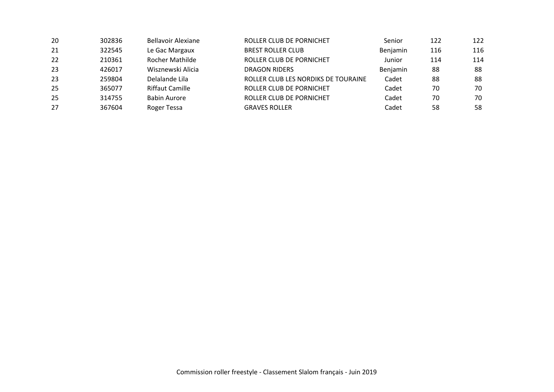| 20 | 302836 | <b>Bellavoir Alexiane</b> | ROLLER CLUB DE PORNICHET            | Senior   | 122 | 122 |
|----|--------|---------------------------|-------------------------------------|----------|-----|-----|
| 21 | 322545 | Le Gac Margaux            | <b>BREST ROLLER CLUB</b>            | Benjamin | 116 | 116 |
| 22 | 210361 | <b>Rocher Mathilde</b>    | ROLLER CLUB DE PORNICHET            | Junior   | 114 | 114 |
| 23 | 426017 | Wisznewski Alicia         | <b>DRAGON RIDERS</b>                | Benjamin | 88  | 88  |
| 23 | 259804 | Delalande Lila            | ROLLER CLUB LES NORDIKS DE TOURAINE | Cadet    | 88  | 88  |
| 25 | 365077 | <b>Riffaut Camille</b>    | ROLLER CLUB DE PORNICHET            | Cadet    | 70  | 70  |
| 25 | 314755 | <b>Babin Aurore</b>       | ROLLER CLUB DE PORNICHET            | Cadet    | 70  | 70  |
| 27 | 367604 | Roger Tessa               | <b>GRAVES ROLLER</b>                | Cadet    | 58  | 58  |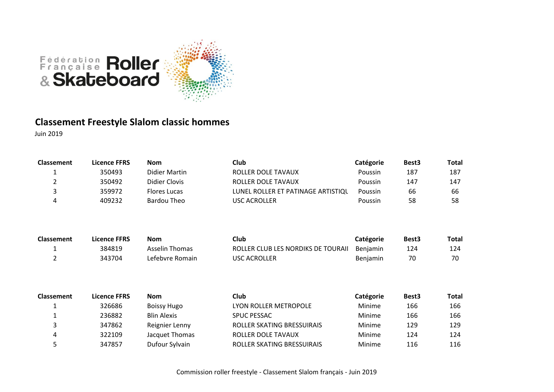

### **Classement Freestyle Slalom classic hommes**

| <b>Classement</b> | <b>Licence FFRS</b> | <b>Nom</b>           | Club                               | Catégorie       | Best <sub>3</sub> | Total |
|-------------------|---------------------|----------------------|------------------------------------|-----------------|-------------------|-------|
| 1                 | 350493              | Didier Martin        | ROLLER DOLE TAVAUX                 | Poussin         | 187               | 187   |
| 2                 | 350492              | <b>Didier Clovis</b> | ROLLER DOLE TAVAUX                 | Poussin         | 147               | 147   |
| 3                 | 359972              | <b>Flores Lucas</b>  | LUNEL ROLLER ET PATINAGE ARTISTIQU | Poussin         | 66                | 66    |
| 4                 | 409232              | <b>Bardou Theo</b>   | <b>USC ACROLLER</b>                | Poussin         | 58                | 58    |
| <b>Classement</b> | <b>Licence FFRS</b> | <b>Nom</b>           | Club                               | Catégorie       | Best <sub>3</sub> | Total |
| 1                 | 384819              | Asselin Thomas       | ROLLER CLUB LES NORDIKS DE TOURAII | <b>Benjamin</b> | 124               | 124   |
| $\overline{2}$    | 343704              | Lefebvre Romain      | <b>USC ACROLLER</b>                | Benjamin        | 70                | 70    |
| <b>Classement</b> | <b>Licence FFRS</b> | <b>Nom</b>           | <b>Club</b>                        | Catégorie       | Best <sub>3</sub> | Total |
| 1                 | 326686              | <b>Boissy Hugo</b>   | LYON ROLLER METROPOLE              | Minime          | 166               | 166   |
|                   | 236882              | <b>Blin Alexis</b>   | <b>SPUC PESSAC</b>                 | Minime          | 166               | 166   |
| 3                 | 347862              | Reignier Lenny       | ROLLER SKATING BRESSUIRAIS         | Minime          | 129               | 129   |
| 4                 | 322109              | Jacquet Thomas       | ROLLER DOLE TAVAUX                 | Minime          | 124               | 124   |
| 5                 | 347857              | Dufour Sylvain       | ROLLER SKATING BRESSUIRAIS         | Minime          | 116               | 116   |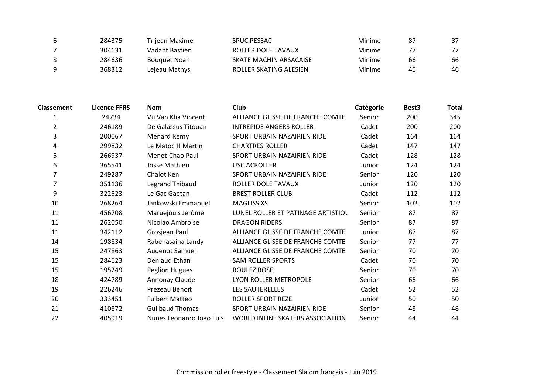|   | 284375 | Triiean Maxime      | <b>SPUC PESSAC</b>     | Minime | 87 | 87 |
|---|--------|---------------------|------------------------|--------|----|----|
|   | 304631 | Vadant Bastien      | ROLLER DOLE TAVAUX     | Minime |    |    |
| 8 | 284636 | <b>Bouguet Noah</b> | SKATE MACHIN ARSACAISE | Minime | 66 | 66 |
| q | 368312 | Lejeau Mathys       | ROLLER SKATING ALESIEN | Minime | 46 | 46 |

| <b>Classement</b> | <b>Licence FFRS</b> | <b>Nom</b>               | Club                               | Catégorie | Best3 | <b>Total</b> |
|-------------------|---------------------|--------------------------|------------------------------------|-----------|-------|--------------|
| 1                 | 24734               | Vu Van Kha Vincent       | ALLIANCE GLISSE DE FRANCHE COMTE   | Senior    | 200   | 345          |
| 2                 | 246189              | De Galassus Titouan      | <b>INTREPIDE ANGERS ROLLER</b>     | Cadet     | 200   | 200          |
| 3                 | 200067              | Menard Remy              | SPORT URBAIN NAZAIRIEN RIDE        | Cadet     | 164   | 164          |
| 4                 | 299832              | Le Matoc H Martin        | <b>CHARTRES ROLLER</b>             | Cadet     | 147   | 147          |
| 5                 | 266937              | Menet-Chao Paul          | SPORT URBAIN NAZAIRIEN RIDE        | Cadet     | 128   | 128          |
| 6                 | 365541              | Josse Mathieu            | <b>USC ACROLLER</b>                | Junior    | 124   | 124          |
| 7                 | 249287              | Chalot Ken               | SPORT URBAIN NAZAIRIEN RIDE        | Senior    | 120   | 120          |
|                   | 351136              | Legrand Thibaud          | ROLLER DOLE TAVAUX                 | Junior    | 120   | 120          |
| 9                 | 322523              | Le Gac Gaetan            | <b>BREST ROLLER CLUB</b>           | Cadet     | 112   | 112          |
| 10                | 268264              | Jankowski Emmanuel       | <b>MAGLISS XS</b>                  | Senior    | 102   | 102          |
| 11                | 456708              | Maruejouls Jérôme        | LUNEL ROLLER ET PATINAGE ARTISTIQU | Senior    | 87    | 87           |
| 11                | 262050              | Nicolao Ambroise         | DRAGON RIDERS                      | Senior    | 87    | 87           |
| 11                | 342112              | Grosjean Paul            | ALLIANCE GLISSE DE FRANCHE COMTE   | Junior    | 87    | 87           |
| 14                | 198834              | Rabehasaina Landy        | ALLIANCE GLISSE DE FRANCHE COMTE   | Senior    | 77    | 77           |
| 15                | 247863              | <b>Audenot Samuel</b>    | ALLIANCE GLISSE DE FRANCHE COMTE   | Senior    | 70    | 70           |
| 15                | 284623              | Deniaud Ethan            | <b>SAM ROLLER SPORTS</b>           | Cadet     | 70    | 70           |
| 15                | 195249              | Peglion Hugues           | ROULEZ ROSE                        | Senior    | 70    | 70           |
| 18                | 424789              | Annonay Claude           | LYON ROLLER METROPOLE              | Senior    | 66    | 66           |
| 19                | 226246              | Prezeau Benoit           | <b>LES SAUTERELLES</b>             | Cadet     | 52    | 52           |
| 20                | 333451              | <b>Fulbert Matteo</b>    | ROLLER SPORT REZE                  | Junior    | 50    | 50           |
| 21                | 410872              | <b>Guilbaud Thomas</b>   | SPORT URBAIN NAZAIRIEN RIDE        | Senior    | 48    | 48           |
| 22                | 405919              | Nunes Leonardo Joao Luis | WORLD INLINE SKATERS ASSOCIATION   | Senior    | 44    | 44           |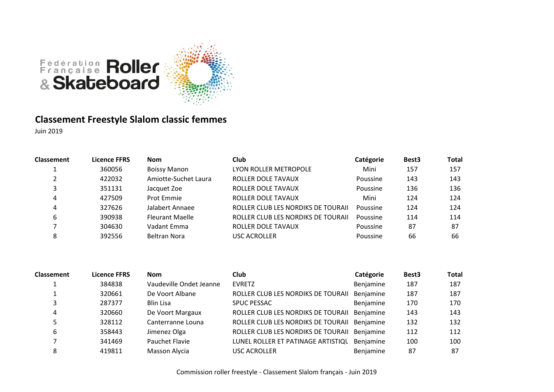

# **Classement Freestyle Slalom classic femmes**

| <b>Classement</b> | Licence FFRS | <b>Nom</b>             | Club                               | Catégorie | Best <sub>3</sub> | <b>Total</b> |
|-------------------|--------------|------------------------|------------------------------------|-----------|-------------------|--------------|
|                   | 360056       | <b>Boissy Manon</b>    | LYON ROLLER METROPOLE              | Mini      | 157               | 157          |
|                   | 422032       | Amiotte-Suchet Laura   | ROLLER DOLE TAVAUX                 | Poussine  | 143               | 143          |
|                   | 351131       | Jacquet Zoe            | ROLLER DOLE TAVAUX                 | Poussine  | 136               | 136          |
| 4                 | 427509       | Prot Emmie             | ROLLER DOLE TAVAUX                 | Mini      | 124               | 124          |
| 4                 | 327626       | Jalabert Annaee        | ROLLER CLUB LES NORDIKS DE TOURAII | Poussine  | 124               | 124          |
| 6                 | 390938       | <b>Fleurant Maelle</b> | ROLLER CLUB LES NORDIKS DE TOURAII | Poussine  | 114               | 114          |
|                   | 304630       | Vadant Emma            | ROLLER DOLE TAVAUX                 | Poussine  | 87                | -87          |
|                   | 392556       | <b>Beltran Nora</b>    | <b>USC ACROLLER</b>                | Poussine  | 66                | 66           |

| <b>Classement</b> | <b>Licence FFRS</b> | <b>Nom</b>              | <b>Club</b>                        | Catégorie | Best <sub>3</sub> | <b>Total</b> |
|-------------------|---------------------|-------------------------|------------------------------------|-----------|-------------------|--------------|
|                   | 384838              | Vaudeville Ondet Jeanne | <b>EVRETZ</b>                      | Benjamine | 187               | 187          |
|                   | 320661              | De Voort Albane         | ROLLER CLUB LES NORDIKS DE TOURAII | Benjamine | 187               | 187          |
|                   | 287377              | <b>Blin Lisa</b>        | <b>SPUC PESSAC</b>                 | Benjamine | 170               | 170          |
| 4                 | 320660              | De Voort Margaux        | ROLLER CLUB LES NORDIKS DE TOURAII | Benjamine | 143               | 143          |
|                   | 328112              | Canterranne Louna       | ROLLER CLUB LES NORDIKS DE TOURAII | Benjamine | 132               | 132          |
| 6                 | 358443              | Jimenez Olga            | ROLLER CLUB LES NORDIKS DE TOURAII | Benjamine | 112               | 112          |
|                   | 341469              | Pauchet Flavie          | LUNEL ROLLER ET PATINAGE ARTISTIQU | Benjamine | 100               | 100          |
| 8                 | 419811              | Masson Alycia           | <b>USC ACROLLER</b>                | Benjamine | 87                | 87           |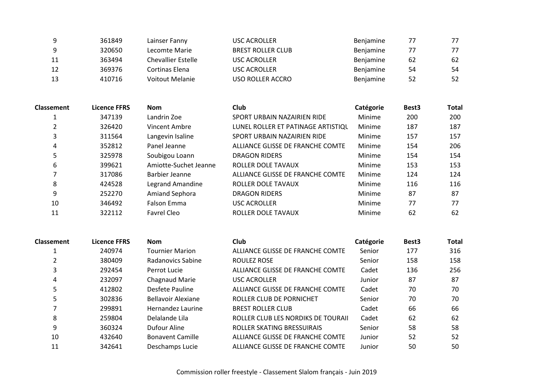|    | 361849 | Lainser Fanny      | USC ACROLLER             | Benjamine | 77 | 77 |
|----|--------|--------------------|--------------------------|-----------|----|----|
|    | 320650 | Lecomte Marie      | <b>BREST ROLLER CLUB</b> | Benjamine | 77 | 77 |
| 11 | 363494 | Chevallier Estelle | USC ACROLLER             | Benjamine | 62 | 62 |
| 12 | 369376 | Cortinas Elena     | USC ACROLLER             | Benjamine | 54 | 54 |
| 13 | 410716 | Voitout Melanie    | USO ROLLER ACCRO         | Benjamine | 52 | 52 |

| <b>Classement</b> | <b>Licence FFRS</b> | <b>Nom</b>            | Club                               | Catégorie | Best <sub>3</sub> | <b>Total</b> |
|-------------------|---------------------|-----------------------|------------------------------------|-----------|-------------------|--------------|
|                   | 347139              | Landrin Zoe           | SPORT URBAIN NAZAIRIEN RIDE        | Minime    | 200               | 200          |
|                   | 326420              | Vincent Ambre         | LUNEL ROLLER ET PATINAGE ARTISTIQU | Minime    | 187               | 187          |
|                   | 311564              | Langevin Isaline      | SPORT URBAIN NAZAIRIEN RIDE        | Minime    | 157               | 157          |
| 4                 | 352812              | Panel Jeanne          | ALLIANCE GLISSE DE FRANCHE COMTE   | Minime    | 154               | 206          |
|                   | 325978              | Soubigou Loann        | <b>DRAGON RIDERS</b>               | Minime    | 154               | 154          |
| 6                 | 399621              | Amiotte-Suchet Jeanne | <b>ROLLER DOLE TAVAUX</b>          | Minime    | 153               | 153          |
|                   | 317086              | Barbier Jeanne        | ALLIANCE GLISSE DE FRANCHE COMTE   | Minime    | 124               | 124          |
| 8                 | 424528              | Legrand Amandine      | <b>ROLLER DOLE TAVAUX</b>          | Minime    | 116               | 116          |
| 9                 | 252270              | <b>Amiand Sephora</b> | <b>DRAGON RIDERS</b>               | Minime    | 87                | 87           |
| 10                | 346492              | <b>Falson Emma</b>    | <b>USC ACROLLER</b>                | Minime    | 77                | 77           |
| 11                | 322112              | Favrel Cleo           | <b>ROLLER DOLE TAVAUX</b>          | Minime    | 62                | 62           |

| Classement | <b>Licence FFRS</b> | <b>Nom</b>                | Club                               | Catégorie | Best <sub>3</sub> | <b>Total</b> |
|------------|---------------------|---------------------------|------------------------------------|-----------|-------------------|--------------|
|            | 240974              | <b>Tournier Marion</b>    | ALLIANCE GLISSE DE FRANCHE COMTE   | Senior    | 177               | 316          |
|            | 380409              | Radanovics Sabine         | ROULEZ ROSE                        | Senior    | 158               | 158          |
| 3          | 292454              | Perrot Lucie              | ALLIANCE GLISSE DE FRANCHE COMTE   | Cadet     | 136               | 256          |
| 4          | 232097              | Chagnaud Marie            | USC ACROLLER                       | Junior    | 87                | 87           |
| 5          | 412802              | Desfete Pauline           | ALLIANCE GLISSE DE FRANCHE COMTE   | Cadet     | 70                | 70           |
| 5          | 302836              | <b>Bellavoir Alexiane</b> | ROLLER CLUB DE PORNICHET           | Senior    | 70                | 70           |
|            | 299891              | Hernandez Laurine         | <b>BREST ROLLER CLUB</b>           | Cadet     | 66                | 66           |
| 8          | 259804              | Delalande Lila            | ROLLER CLUB LES NORDIKS DE TOURAII | Cadet     | 62                | 62           |
| 9          | 360324              | Dufour Aline              | ROLLER SKATING BRESSUIRAIS         | Senior    | 58                | 58           |
| 10         | 432640              | <b>Bonavent Camille</b>   | ALLIANCE GLISSE DE FRANCHE COMTE   | Junior    | 52                | 52           |
| 11         | 342641              | Deschamps Lucie           | ALLIANCE GLISSE DE FRANCHE COMTE   | Junior    | 50                | 50           |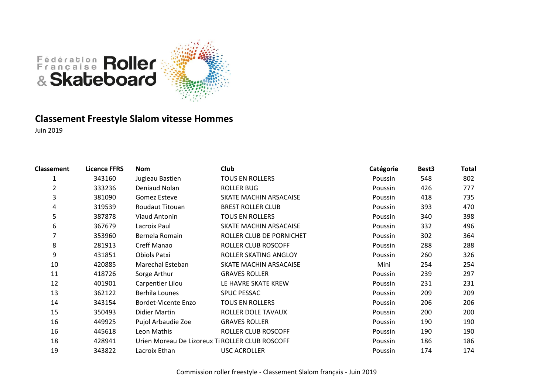



# **Classement Freestyle Slalom vitesse Hommes**

| <b>Classement</b> | <b>Licence FFRS</b> | <b>Nom</b>          | Club                                            | Catégorie      | Best <sub>3</sub> | Total |
|-------------------|---------------------|---------------------|-------------------------------------------------|----------------|-------------------|-------|
|                   | 343160              | Jugieau Bastien     | <b>TOUS EN ROLLERS</b>                          | <b>Poussin</b> | 548               | 802   |
| 2                 | 333236              | Deniaud Nolan       | <b>ROLLER BUG</b>                               | Poussin        | 426               | 777   |
| 3                 | 381090              | Gomez Esteve        | SKATE MACHIN ARSACAISE                          | Poussin        | 418               | 735   |
| 4                 | 319539              | Roudaut Titouan     | <b>BREST ROLLER CLUB</b>                        | Poussin        | 393               | 470   |
| 5                 | 387878              | Viaud Antonin       | <b>TOUS EN ROLLERS</b>                          | Poussin        | 340               | 398   |
| 6                 | 367679              | Lacroix Paul        | SKATE MACHIN ARSACAISE                          | Poussin        | 332               | 496   |
| 7                 | 353960              | Bernela Romain      | ROLLER CLUB DE PORNICHET                        | Poussin        | 302               | 364   |
| 8                 | 281913              | Creff Manao         | ROLLER CLUB ROSCOFF                             | Poussin        | 288               | 288   |
| 9                 | 431851              | Obiols Patxi        | ROLLER SKATING ANGLOY                           | Poussin        | 260               | 326   |
| 10                | 420885              | Marechal Esteban    | SKATE MACHIN ARSACAISE                          | Mini           | 254               | 254   |
| 11                | 418726              | Sorge Arthur        | <b>GRAVES ROLLER</b>                            | Poussin        | 239               | 297   |
| 12                | 401901              | Carpentier Lilou    | LE HAVRE SKATE KREW                             | Poussin        | 231               | 231   |
| 13                | 362122              | Berhila Lounes      | <b>SPUC PESSAC</b>                              | Poussin        | 209               | 209   |
| 14                | 343154              | Bordet-Vicente Enzo | <b>TOUS EN ROLLERS</b>                          | Poussin        | 206               | 206   |
| 15                | 350493              | Didier Martin       | ROLLER DOLE TAVAUX                              | Poussin        | 200               | 200   |
| 16                | 449925              | Pujol Arbaudie Zoe  | <b>GRAVES ROLLER</b>                            | Poussin        | 190               | 190   |
| 16                | 445618              | Leon Mathis         | ROLLER CLUB ROSCOFF                             | Poussin        | 190               | 190   |
| 18                | 428941              |                     | Urien Moreau De Lizoreux Ti ROLLER CLUB ROSCOFF | Poussin        | 186               | 186   |
| 19                | 343822              | Lacroix Ethan       | <b>USC ACROLLER</b>                             | Poussin        | 174               | 174   |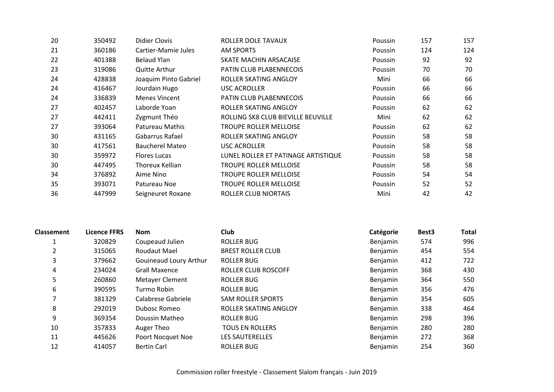| 20 | 350492 | Didier Clovis          | ROLLER DOLE TAVAUX                  | Poussin | 157 | 157 |
|----|--------|------------------------|-------------------------------------|---------|-----|-----|
| 21 | 360186 | Cartier-Mamie Jules    | <b>AM SPORTS</b>                    | Poussin | 124 | 124 |
| 22 | 401388 | <b>Belaud Ylan</b>     | SKATE MACHIN ARSACAISE              | Poussin | 92  | 92  |
| 23 | 319086 | <b>Quitte Arthur</b>   | PATIN CLUB PLABENNECOIS             | Poussin | 70  | 70  |
| 24 | 428838 | Joaquim Pinto Gabriel  | ROLLER SKATING ANGLOY               | Mini    | 66  | 66  |
| 24 | 416467 | Jourdain Hugo          | <b>USC ACROLLER</b>                 | Poussin | 66  | 66  |
| 24 | 336839 | <b>Menes Vincent</b>   | PATIN CLUB PLABENNECOIS             | Poussin | 66  | 66  |
| 27 | 402457 | Laborde Yoan           | ROLLER SKATING ANGLOY               | Poussin | 62  | 62  |
| 27 | 442411 | Zygmunt Théo           | ROLLING SK8 CLUB BIEVILLE BEUVILLE  | Mini    | 62  | 62  |
| 27 | 393064 | Patureau Mathis        | TROUPE ROLLER MELLOISE              | Poussin | 62  | 62  |
| 30 | 431165 | Gabarrus Rafael        | ROLLER SKATING ANGLOY               | Poussin | 58  | 58  |
| 30 | 417561 | <b>Baucherel Mateo</b> | <b>USC ACROLLER</b>                 | Poussin | 58  | 58  |
| 30 | 359972 | <b>Flores Lucas</b>    | LUNEL ROLLER ET PATINAGE ARTISTIQUE | Poussin | 58  | 58  |
| 30 | 447495 | Thoreux Kellian        | <b>TROUPE ROLLER MELLOISE</b>       | Poussin | 58  | 58  |
| 34 | 376892 | Aime Nino              | <b>TROUPE ROLLER MELLOISE</b>       | Poussin | 54  | 54  |
| 35 | 393071 | Patureau Noe           | TROUPE ROLLER MELLOISE              | Poussin | 52  | 52  |
| 36 | 447999 | Seigneuret Roxane      | ROLLER CLUB NIORTAIS                | Mini    | 42  | 42  |

| <b>Classement</b> | <b>Licence FFRS</b> | <b>Nom</b>             | <b>Club</b>              | Catégorie | Best <sub>3</sub> | <b>Total</b> |
|-------------------|---------------------|------------------------|--------------------------|-----------|-------------------|--------------|
|                   | 320829              | Coupeaud Julien        | <b>ROLLER BUG</b>        | Benjamin  | 574               | 996          |
| 2                 | 315065              | Roudaut Mael           | <b>BREST ROLLER CLUB</b> | Benjamin  | 454               | 554          |
| 3                 | 379662              | Gouineaud Loury Arthur | <b>ROLLER BUG</b>        | Benjamin  | 412               | 722          |
| 4                 | 234024              | <b>Grall Maxence</b>   | ROLLER CLUB ROSCOFF      | Benjamin  | 368               | 430          |
| 5                 | 260860              | Metayer Clement        | <b>ROLLER BUG</b>        | Benjamin  | 364               | 550          |
| 6                 | 390595              | Turmo Robin            | <b>ROLLER BUG</b>        | Benjamin  | 356               | 476          |
|                   | 381329              | Calabrese Gabriele     | <b>SAM ROLLER SPORTS</b> | Benjamin  | 354               | 605          |
| 8                 | 292019              | Dubosc Romeo           | ROLLER SKATING ANGLOY    | Benjamin  | 338               | 464          |
| 9                 | 369354              | Doussin Matheo         | <b>ROLLER BUG</b>        | Benjamin  | 298               | 396          |
| 10                | 357833              | Auger Theo             | <b>TOUS EN ROLLERS</b>   | Benjamin  | 280               | 280          |
| 11                | 445626              | Poort Nocquet Noe      | <b>LES SAUTERELLES</b>   | Benjamin  | 272               | 368          |
| 12                | 414057              | <b>Bertin Carl</b>     | ROLLER BUG               | Benjamin  | 254               | 360          |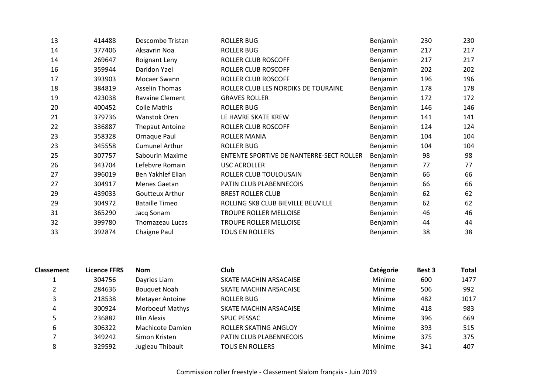| 13 | 414488 | Descombe Tristan       | <b>ROLLER BUG</b>                        | Benjamin | 230 | 230 |
|----|--------|------------------------|------------------------------------------|----------|-----|-----|
| 14 | 377406 | Aksavrin Noa           | <b>ROLLER BUG</b>                        | Benjamin | 217 | 217 |
| 14 | 269647 | Roignant Leny          | ROLLER CLUB ROSCOFF                      | Benjamin | 217 | 217 |
| 16 | 359944 | Daridon Yael           | <b>ROLLER CLUB ROSCOFF</b>               | Benjamin | 202 | 202 |
| 17 | 393903 | Mocaer Swann           | ROLLER CLUB ROSCOFF                      | Benjamin | 196 | 196 |
| 18 | 384819 | <b>Asselin Thomas</b>  | ROLLER CLUB LES NORDIKS DE TOURAINE      | Benjamin | 178 | 178 |
| 19 | 423038 | Ravaine Clement        | <b>GRAVES ROLLER</b>                     | Benjamin | 172 | 172 |
| 20 | 400452 | <b>Colle Mathis</b>    | <b>ROLLER BUG</b>                        | Benjamin | 146 | 146 |
| 21 | 379736 | <b>Wanstok Oren</b>    | LE HAVRE SKATE KREW                      | Benjamin | 141 | 141 |
| 22 | 336887 | <b>Thepaut Antoine</b> | ROLLER CLUB ROSCOFF                      | Benjamin | 124 | 124 |
| 23 | 358328 | Ornaque Paul           | <b>ROLLER MANIA</b>                      | Benjamin | 104 | 104 |
| 23 | 345558 | <b>Cumunel Arthur</b>  | <b>ROLLER BUG</b>                        | Benjamin | 104 | 104 |
| 25 | 307757 | Sabourin Maxime        | ENTENTE SPORTIVE DE NANTERRE-SECT ROLLER | Benjamin | 98  | 98  |
| 26 | 343704 | Lefebvre Romain        | <b>USC ACROLLER</b>                      | Benjamin | 77  | 77  |
| 27 | 396019 | Ben Yakhlef Elian      | ROLLER CLUB TOULOUSAIN                   | Benjamin | 66  | 66  |
| 27 | 304917 | Menes Gaetan           | PATIN CLUB PLABENNECOIS                  | Benjamin | 66  | 66  |
| 29 | 439033 | Goutteux Arthur        | <b>BREST ROLLER CLUB</b>                 | Benjamin | 62  | 62  |
| 29 | 304972 | <b>Bataille Timeo</b>  | ROLLING SK8 CLUB BIEVILLE BEUVILLE       | Benjamin | 62  | 62  |
| 31 | 365290 | Jacq Sonam             | <b>TROUPE ROLLER MELLOISE</b>            | Benjamin | 46  | 46  |
| 32 | 399780 | Thomazeau Lucas        | TROUPE ROLLER MELLOISE                   | Benjamin | 44  | 44  |
| 33 | 392874 | Chaigne Paul           | <b>TOUS EN ROLLERS</b>                   | Benjamin | 38  | 38  |

| <b>Classement</b> | <b>Licence FFRS</b> | <b>Nom</b>             | Club                    | Catégorie | Best 3 | <b>Total</b> |
|-------------------|---------------------|------------------------|-------------------------|-----------|--------|--------------|
|                   | 304756              | Dayries Liam           | SKATE MACHIN ARSACAISE  | Minime    | 600    | 1477         |
|                   | 284636              | <b>Bouquet Noah</b>    | SKATE MACHIN ARSACAISE  | Minime    | 506    | 992          |
| 3                 | 218538              | <b>Metayer Antoine</b> | <b>ROLLER BUG</b>       | Minime    | 482    | 1017         |
| 4                 | 300924              | <b>Morboeuf Mathys</b> | SKATE MACHIN ARSACAISE  | Minime    | 418    | 983          |
| 5                 | 236882              | <b>Blin Alexis</b>     | <b>SPUC PESSAC</b>      | Minime    | 396    | 669          |
| 6                 | 306322              | Machicote Damien       | ROLLER SKATING ANGLOY   | Minime    | 393    | 515          |
|                   | 349242              | Simon Kristen          | PATIN CLUB PLABENNECOIS | Minime    | 375    | 375          |
| 8                 | 329592              | Jugieau Thibault       | <b>TOUS EN ROLLERS</b>  | Minime    | 341    | 407          |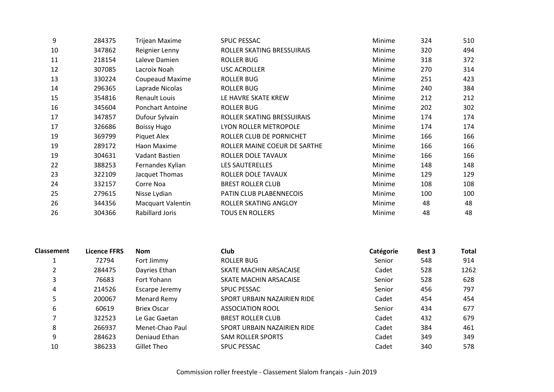| 9  | 284375 | <b>Trijean Maxime</b>    | <b>SPUC PESSAC</b>           | Minime | 324 | 510 |
|----|--------|--------------------------|------------------------------|--------|-----|-----|
| 10 | 347862 | Reignier Lenny           | ROLLER SKATING BRESSUIRAIS   | Minime | 320 | 494 |
| 11 | 218154 | Laleve Damien            | <b>ROLLER BUG</b>            | Minime | 318 | 372 |
| 12 | 307085 | Lacroix Noah             | <b>USC ACROLLER</b>          | Minime | 270 | 314 |
| 13 | 330224 | <b>Coupeaud Maxime</b>   | <b>ROLLER BUG</b>            | Minime | 251 | 423 |
| 14 | 296365 | Laprade Nicolas          | <b>ROLLER BUG</b>            | Minime | 240 | 384 |
| 15 | 354816 | Renault Louis            | LE HAVRE SKATE KREW          | Minime | 212 | 212 |
| 16 | 345604 | <b>Ponchart Antoine</b>  | <b>ROLLER BUG</b>            | Minime | 202 | 302 |
| 17 | 347857 | Dufour Sylvain           | ROLLER SKATING BRESSUIRAIS   | Minime | 174 | 174 |
| 17 | 326686 | <b>Boissy Hugo</b>       | LYON ROLLER METROPOLE        | Minime | 174 | 174 |
| 19 | 369799 | Piquet Alex              | ROLLER CLUB DE PORNICHET     | Minime | 166 | 166 |
| 19 | 289172 | Haon Maxime              | ROLLER MAINE COEUR DE SARTHE | Minime | 166 | 166 |
| 19 | 304631 | Vadant Bastien           | ROLLER DOLE TAVAUX           | Minime | 166 | 166 |
| 22 | 388253 | Fernandes Kylian         | LES SAUTERELLES              | Minime | 148 | 148 |
| 23 | 322109 | Jacquet Thomas           | ROLLER DOLE TAVAUX           | Minime | 129 | 129 |
| 24 | 332157 | Corre Noa                | <b>BREST ROLLER CLUB</b>     | Minime | 108 | 108 |
| 25 | 279615 | Nisse Lydian             | PATIN CLUB PLABENNECOIS      | Minime | 100 | 100 |
| 26 | 344356 | <b>Macquart Valentin</b> | ROLLER SKATING ANGLOY        | Minime | 48  | 48  |
| 26 | 304366 | <b>Rabillard Joris</b>   | <b>TOUS EN ROLLERS</b>       | Minime | 48  | 48  |

| <b>Classement</b> | <b>Licence FFRS</b> | <b>Nom</b>         | <b>Club</b>                 | Catégorie | Best 3 | <b>Total</b> |
|-------------------|---------------------|--------------------|-----------------------------|-----------|--------|--------------|
|                   | 72794               | Fort Jimmy         | ROLLER BUG                  | Senior    | 548    | 914          |
|                   | 284475              | Dayries Ethan      | SKATE MACHIN ARSACAISE      | Cadet     | 528    | 1262         |
|                   | 76683               | Fort Yohann        | SKATE MACHIN ARSACAISE      | Senior    | 528    | 628          |
| 4                 | 214526              | Escarpe Jeremy     | <b>SPUC PESSAC</b>          | Senior    | 456    | 797          |
| 5                 | 200067              | Menard Remy        | SPORT URBAIN NAZAIRIEN RIDE | Cadet     | 454    | 454          |
| 6                 | 60619               | <b>Briex Oscar</b> | <b>ASSOCIATION ROOL</b>     | Senior    | 434    | 677          |
|                   | 322523              | Le Gac Gaetan      | <b>BREST ROLLER CLUB</b>    | Cadet     | 432    | 679          |
| 8                 | 266937              | Menet-Chao Paul    | SPORT URBAIN NAZAIRIEN RIDE | Cadet     | 384    | 461          |
| 9                 | 284623              | Deniaud Ethan      | <b>SAM ROLLER SPORTS</b>    | Cadet     | 349    | 349          |
| 10                | 386233              | Gillet Theo        | <b>SPUC PESSAC</b>          | Cadet     | 340    | 578          |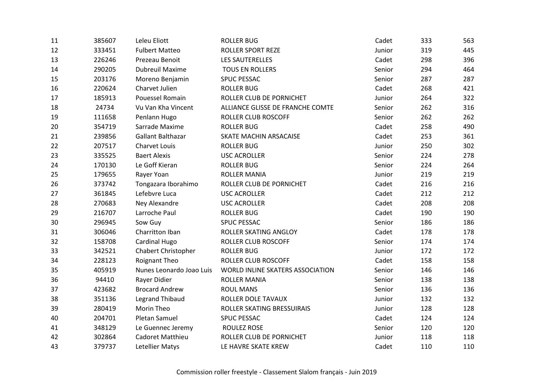| 11 | 385607 | Leleu Eliott             | <b>ROLLER BUG</b>                | Cadet  | 333 | 563 |
|----|--------|--------------------------|----------------------------------|--------|-----|-----|
| 12 | 333451 | <b>Fulbert Matteo</b>    | <b>ROLLER SPORT REZE</b>         | Junior | 319 | 445 |
| 13 | 226246 | Prezeau Benoit           | <b>LES SAUTERELLES</b>           | Cadet  | 298 | 396 |
| 14 | 290205 | <b>Dubreuil Maxime</b>   | <b>TOUS EN ROLLERS</b>           | Senior | 294 | 464 |
| 15 | 203176 | Moreno Benjamin          | SPUC PESSAC                      | Senior | 287 | 287 |
| 16 | 220624 | Charvet Julien           | <b>ROLLER BUG</b>                | Cadet  | 268 | 421 |
| 17 | 185913 | Pouessel Romain          | ROLLER CLUB DE PORNICHET         | Junior | 264 | 322 |
| 18 | 24734  | Vu Van Kha Vincent       | ALLIANCE GLISSE DE FRANCHE COMTE | Senior | 262 | 316 |
| 19 | 111658 | Penlann Hugo             | <b>ROLLER CLUB ROSCOFF</b>       | Senior | 262 | 262 |
| 20 | 354719 | Sarrade Maxime           | <b>ROLLER BUG</b>                | Cadet  | 258 | 490 |
| 21 | 239856 | Gallant Balthazar        | SKATE MACHIN ARSACAISE           | Cadet  | 253 | 361 |
| 22 | 207517 | Charvet Louis            | <b>ROLLER BUG</b>                | Junior | 250 | 302 |
| 23 | 335525 | <b>Baert Alexis</b>      | <b>USC ACROLLER</b>              | Senior | 224 | 278 |
| 24 | 170130 | Le Goff Kieran           | <b>ROLLER BUG</b>                | Senior | 224 | 264 |
| 25 | 179655 | Rayer Yoan               | <b>ROLLER MANIA</b>              | Junior | 219 | 219 |
| 26 | 373742 | Tongazara Iborahimo      | ROLLER CLUB DE PORNICHET         | Cadet  | 216 | 216 |
| 27 | 361845 | Lefebvre Luca            | <b>USC ACROLLER</b>              | Cadet  | 212 | 212 |
| 28 | 270683 | Ney Alexandre            | <b>USC ACROLLER</b>              | Cadet  | 208 | 208 |
| 29 | 216707 | Larroche Paul            | <b>ROLLER BUG</b>                | Cadet  | 190 | 190 |
| 30 | 296945 | Sow Guy                  | <b>SPUC PESSAC</b>               | Senior | 186 | 186 |
| 31 | 306046 | Charritton Iban          | ROLLER SKATING ANGLOY            | Cadet  | 178 | 178 |
| 32 | 158708 | Cardinal Hugo            | ROLLER CLUB ROSCOFF              | Senior | 174 | 174 |
| 33 | 342521 | Chabert Christopher      | <b>ROLLER BUG</b>                | Junior | 172 | 172 |
| 34 | 228123 | Roignant Theo            | ROLLER CLUB ROSCOFF              | Cadet  | 158 | 158 |
| 35 | 405919 | Nunes Leonardo Joao Luis | WORLD INLINE SKATERS ASSOCIATION | Senior | 146 | 146 |
| 36 | 94410  | Rayer Didier             | <b>ROLLER MANIA</b>              | Senior | 138 | 138 |
| 37 | 423682 | <b>Brocard Andrew</b>    | <b>ROUL MANS</b>                 | Senior | 136 | 136 |
| 38 | 351136 | <b>Legrand Thibaud</b>   | ROLLER DOLE TAVAUX               | Junior | 132 | 132 |
| 39 | 280419 | Morin Theo               | ROLLER SKATING BRESSUIRAIS       | Junior | 128 | 128 |
| 40 | 204701 | Pletan Samuel            | <b>SPUC PESSAC</b>               | Cadet  | 124 | 124 |
| 41 | 348129 | Le Guennec Jeremy        | <b>ROULEZ ROSE</b>               | Senior | 120 | 120 |
| 42 | 302864 | Cadoret Matthieu         | ROLLER CLUB DE PORNICHET         | Junior | 118 | 118 |
| 43 | 379737 | Letellier Matys          | LE HAVRE SKATE KREW              | Cadet  | 110 | 110 |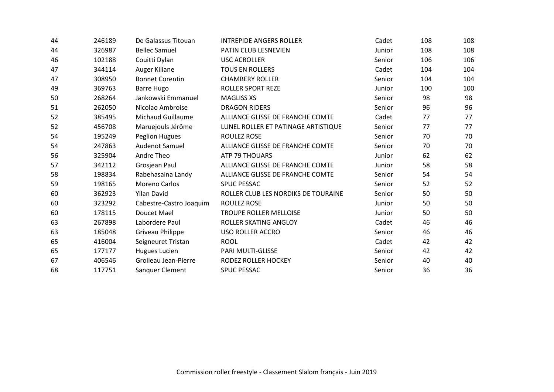| 44 | 246189 | De Galassus Titouan      | <b>INTREPIDE ANGERS ROLLER</b>      | Cadet  | 108 | 108 |
|----|--------|--------------------------|-------------------------------------|--------|-----|-----|
| 44 | 326987 | <b>Bellec Samuel</b>     | PATIN CLUB LESNEVIEN                | Junior | 108 | 108 |
| 46 | 102188 | Couitti Dylan            | <b>USC ACROLLER</b>                 | Senior | 106 | 106 |
| 47 | 344114 | Auger Kiliane            | <b>TOUS EN ROLLERS</b>              | Cadet  | 104 | 104 |
| 47 | 308950 | <b>Bonnet Corentin</b>   | <b>CHAMBERY ROLLER</b>              | Senior | 104 | 104 |
| 49 | 369763 | <b>Barre Hugo</b>        | <b>ROLLER SPORT REZE</b>            | Junior | 100 | 100 |
| 50 | 268264 | Jankowski Emmanuel       | <b>MAGLISS XS</b>                   | Senior | 98  | 98  |
| 51 | 262050 | Nicolao Ambroise         | <b>DRAGON RIDERS</b>                | Senior | 96  | 96  |
| 52 | 385495 | <b>Michaud Guillaume</b> | ALLIANCE GLISSE DE FRANCHE COMTE    | Cadet  | 77  | 77  |
| 52 | 456708 | Maruejouls Jérôme        | LUNEL ROLLER ET PATINAGE ARTISTIQUE | Senior | 77  | 77  |
| 54 | 195249 | Peglion Hugues           | <b>ROULEZ ROSE</b>                  | Senior | 70  | 70  |
| 54 | 247863 | <b>Audenot Samuel</b>    | ALLIANCE GLISSE DE FRANCHE COMTE    | Senior | 70  | 70  |
| 56 | 325904 | Andre Theo               | ATP 79 THOUARS                      | Junior | 62  | 62  |
| 57 | 342112 | Grosjean Paul            | ALLIANCE GLISSE DE FRANCHE COMTE    | Junior | 58  | 58  |
| 58 | 198834 | Rabehasaina Landy        | ALLIANCE GLISSE DE FRANCHE COMTE    | Senior | 54  | 54  |
| 59 | 198165 | <b>Moreno Carlos</b>     | <b>SPUC PESSAC</b>                  | Senior | 52  | 52  |
| 60 | 362923 | <b>Yllan David</b>       | ROLLER CLUB LES NORDIKS DE TOURAINE | Senior | 50  | 50  |
| 60 | 323292 | Cabestre-Castro Joaquim  | <b>ROULEZ ROSE</b>                  | Junior | 50  | 50  |
| 60 | 178115 | Doucet Mael              | TROUPE ROLLER MELLOISE              | Junior | 50  | 50  |
| 63 | 267898 | Labordere Paul           | ROLLER SKATING ANGLOY               | Cadet  | 46  | 46  |
| 63 | 185048 | Griveau Philippe         | <b>USO ROLLER ACCRO</b>             | Senior | 46  | 46  |
| 65 | 416004 | Seigneuret Tristan       | <b>ROOL</b>                         | Cadet  | 42  | 42  |
| 65 | 177177 | Hugues Lucien            | PARI MULTI-GLISSE                   | Senior | 42  | 42  |
| 67 | 406546 | Grolleau Jean-Pierre     | RODEZ ROLLER HOCKEY                 | Senior | 40  | 40  |
| 68 | 117751 | Sanquer Clement          | <b>SPUC PESSAC</b>                  | Senior | 36  | 36  |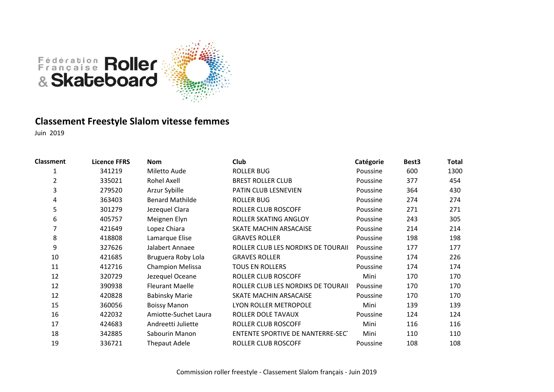

# **Classement Freestyle Slalom vitesse femmes**

| <b>Classment</b> | <b>Licence FFRS</b> | <b>Nom</b>              | Club                               | Catégorie | Best <sub>3</sub> | <b>Total</b> |
|------------------|---------------------|-------------------------|------------------------------------|-----------|-------------------|--------------|
| 1                | 341219              | Miletto Aude            | <b>ROLLER BUG</b>                  | Poussine  | 600               | 1300         |
| 2                | 335021              | Rohel Axell             | <b>BREST ROLLER CLUB</b>           | Poussine  | 377               | 454          |
| 3                | 279520              | Arzur Sybille           | PATIN CLUB LESNEVIEN               | Poussine  | 364               | 430          |
| 4                | 363403              | <b>Benard Mathilde</b>  | <b>ROLLER BUG</b>                  | Poussine  | 274               | 274          |
| 5                | 301279              | Jezequel Clara          | ROLLER CLUB ROSCOFF                | Poussine  | 271               | 271          |
| 6                | 405757              | Meignen Elyn            | ROLLER SKATING ANGLOY              | Poussine  | 243               | 305          |
|                  | 421649              | Lopez Chiara            | SKATE MACHIN ARSACAISE             | Poussine  | 214               | 214          |
| 8                | 418808              | Lamarque Elise          | <b>GRAVES ROLLER</b>               | Poussine  | 198               | 198          |
| 9                | 327626              | Jalabert Annaee         | ROLLER CLUB LES NORDIKS DE TOURAII | Poussine  | 177               | 177          |
| 10               | 421685              | Bruguera Roby Lola      | <b>GRAVES ROLLER</b>               | Poussine  | 174               | 226          |
| 11               | 412716              | <b>Champion Melissa</b> | <b>TOUS EN ROLLERS</b>             | Poussine  | 174               | 174          |
| 12               | 320729              | Jezequel Oceane         | ROLLER CLUB ROSCOFF                | Mini      | 170               | 170          |
| 12               | 390938              | <b>Fleurant Maelle</b>  | ROLLER CLUB LES NORDIKS DE TOURAII | Poussine  | 170               | 170          |
| 12               | 420828              | <b>Babinsky Marie</b>   | SKATE MACHIN ARSACAISE             | Poussine  | 170               | 170          |
| 15               | 360056              | <b>Boissy Manon</b>     | LYON ROLLER METROPOLE              | Mini      | 139               | 139          |
| 16               | 422032              | Amiotte-Suchet Laura    | ROLLER DOLE TAVAUX                 | Poussine  | 124               | 124          |
| 17               | 424683              | Andreetti Juliette      | ROLLER CLUB ROSCOFF                | Mini      | 116               | 116          |
| 18               | 342885              | Sabourin Manon          | ENTENTE SPORTIVE DE NANTERRE-SECT  | Mini      | 110               | 110          |
| 19               | 336721              | <b>Thepaut Adele</b>    | ROLLER CLUB ROSCOFF                | Poussine  | 108               | 108          |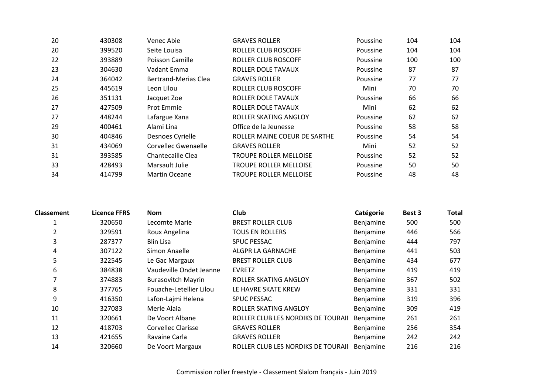| 20 | 430308 | Venec Abie                  | <b>GRAVES ROLLER</b>          | Poussine | 104 | 104 |
|----|--------|-----------------------------|-------------------------------|----------|-----|-----|
| 20 | 399520 | Seite Louisa                | ROLLER CLUB ROSCOFF           | Poussine | 104 | 104 |
| 22 | 393889 | Poisson Camille             | ROLLER CLUB ROSCOFF           | Poussine | 100 | 100 |
| 23 | 304630 | Vadant Emma                 | <b>ROLLER DOLE TAVAUX</b>     | Poussine | 87  | 87  |
| 24 | 364042 | <b>Bertrand-Merias Clea</b> | <b>GRAVES ROLLER</b>          | Poussine | 77  | 77  |
| 25 | 445619 | Leon Lilou                  | ROLLER CLUB ROSCOFF           | Mini     | 70  | 70  |
| 26 | 351131 | Jacquet Zoe                 | ROLLER DOLE TAVAUX            | Poussine | 66  | 66  |
| 27 | 427509 | Prot Emmie                  | <b>ROLLER DOLE TAVAUX</b>     | Mini     | 62  | 62  |
| 27 | 448244 | Lafargue Xana               | ROLLER SKATING ANGLOY         | Poussine | 62  | 62  |
| 29 | 400461 | Alami Lina                  | Office de la Jeunesse         | Poussine | 58  | 58  |
| 30 | 404846 | Desnoes Cyrielle            | ROLLER MAINE COEUR DE SARTHE  | Poussine | 54  | 54  |
| 31 | 434069 | Corvellec Gwenaelle         | <b>GRAVES ROLLER</b>          | Mini     | 52  | 52  |
| 31 | 393585 | Chantecaille Clea           | TROUPE ROLLER MELLOISE        | Poussine | 52  | 52  |
| 33 | 428493 | Marsault Julie              | <b>TROUPE ROLLER MELLOISE</b> | Poussine | 50  | 50  |
| 34 | 414799 | <b>Martin Oceane</b>        | <b>TROUPE ROLLER MELLOISE</b> | Poussine | 48  | 48  |

| <b>Classement</b> | Licence FFRS | <b>Nom</b>                | <b>Club</b>                        | Catégorie        | Best 3 | <b>Total</b> |
|-------------------|--------------|---------------------------|------------------------------------|------------------|--------|--------------|
|                   | 320650       | Lecomte Marie             | <b>BREST ROLLER CLUB</b>           | Benjamine        | 500    | 500          |
|                   | 329591       | Roux Angelina             | <b>TOUS EN ROLLERS</b>             | Benjamine        | 446    | 566          |
| 3                 | 287377       | <b>Blin Lisa</b>          | <b>SPUC PESSAC</b>                 | Benjamine        | 444    | 797          |
| 4                 | 307122       | Simon Anaelle             | ALGPR LA GARNACHE                  | Benjamine        | 441    | 503          |
| 5                 | 322545       | Le Gac Margaux            | <b>BREST ROLLER CLUB</b>           | Benjamine        | 434    | 677          |
| 6                 | 384838       | Vaudeville Ondet Jeanne   | <b>EVRETZ</b>                      | Benjamine        | 419    | 419          |
|                   | 374883       | <b>Burasovitch Mayrin</b> | ROLLER SKATING ANGLOY              | Benjamine        | 367    | 502          |
| 8                 | 377765       | Fouache-Letellier Lilou   | LE HAVRE SKATE KREW                | Benjamine        | 331    | 331          |
| 9                 | 416350       | Lafon-Lajmi Helena        | <b>SPUC PESSAC</b>                 | Benjamine        | 319    | 396          |
| 10                | 327083       | Merle Alaia               | ROLLER SKATING ANGLOY              | Benjamine        | 309    | 419          |
| 11                | 320661       | De Voort Albane           | ROLLER CLUB LES NORDIKS DE TOURAII | Benjamine        | 261    | 261          |
| 12                | 418703       | Corvellec Clarisse        | <b>GRAVES ROLLER</b>               | Benjamine        | 256    | 354          |
| 13                | 421655       | Ravaine Carla             | <b>GRAVES ROLLER</b>               | Benjamine        | 242    | 242          |
| 14                | 320660       | De Voort Margaux          | ROLLER CLUB LES NORDIKS DE TOURAII | <b>Benjamine</b> | 216    | 216          |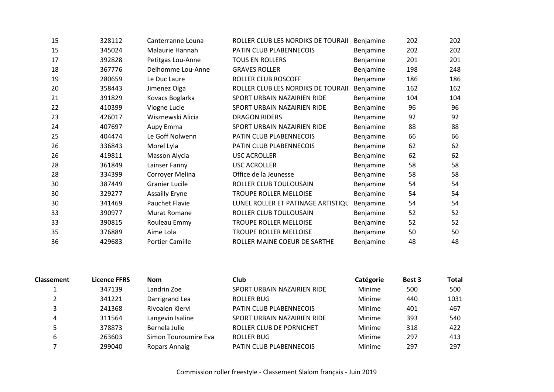| 15 | 328112 | Canterranne Louna      | ROLLER CLUB LES NORDIKS DE TOURAII | Benjamine | 202 | 202 |
|----|--------|------------------------|------------------------------------|-----------|-----|-----|
| 15 | 345024 | Malaurie Hannah        | PATIN CLUB PLABENNECOIS            | Benjamine | 202 | 202 |
| 17 | 392828 | Petitgas Lou-Anne      | <b>TOUS EN ROLLERS</b>             | Benjamine | 201 | 201 |
| 18 | 367776 | Delhomme Lou-Anne      | <b>GRAVES ROLLER</b>               | Benjamine | 198 | 248 |
| 19 | 280659 | Le Duc Laure           | ROLLER CLUB ROSCOFF                | Benjamine | 186 | 186 |
| 20 | 358443 | Jimenez Olga           | ROLLER CLUB LES NORDIKS DE TOURAII | Benjamine | 162 | 162 |
| 21 | 391829 | Kovacs Boglarka        | SPORT URBAIN NAZAIRIEN RIDE        | Benjamine | 104 | 104 |
| 22 | 410399 | Viogne Lucie           | SPORT URBAIN NAZAIRIEN RIDE        | Benjamine | 96  | 96  |
| 23 | 426017 | Wisznewski Alicia      | <b>DRAGON RIDERS</b>               | Benjamine | 92  | 92  |
| 24 | 407697 | Aupy Emma              | SPORT URBAIN NAZAIRIEN RIDE        | Benjamine | 88  | 88  |
| 25 | 404474 | Le Goff Nolwenn        | PATIN CLUB PLABENNECOIS            | Benjamine | 66  | 66  |
| 26 | 336843 | Morel Lyla             | PATIN CLUB PLABENNECOIS            | Benjamine | 62  | 62  |
| 26 | 419811 | Masson Alycia          | <b>USC ACROLLER</b>                | Benjamine | 62  | 62  |
| 28 | 361849 | Lainser Fanny          | <b>USC ACROLLER</b>                | Benjamine | 58  | 58  |
| 28 | 334399 | Corroyer Melina        | Office de la Jeunesse              | Benjamine | 58  | 58  |
| 30 | 387449 | <b>Granier Lucile</b>  | ROLLER CLUB TOULOUSAIN             | Benjamine | 54  | 54  |
| 30 | 329277 | <b>Assailly Eryne</b>  | TROUPE ROLLER MELLOISE             | Benjamine | 54  | 54  |
| 30 | 341469 | Pauchet Flavie         | LUNEL ROLLER ET PATINAGE ARTISTIQU | Benjamine | 54  | 54  |
| 33 | 390977 | <b>Murat Romane</b>    | ROLLER CLUB TOULOUSAIN             | Benjamine | 52  | 52  |
| 33 | 390815 | Rouleau Emmy           | <b>TROUPE ROLLER MELLOISE</b>      | Benjamine | 52  | 52  |
| 35 | 376889 | Aime Lola              | TROUPE ROLLER MELLOISE             | Benjamine | 50  | 50  |
| 36 | 429683 | <b>Portier Camille</b> | ROLLER MAINE COEUR DE SARTHE       | Benjamine | 48  | 48  |

| <b>Classement</b> | <b>Licence FFRS</b> | <b>Nom</b>           | <b>Club</b>                    | Catégorie | Best 3 | <b>Total</b> |
|-------------------|---------------------|----------------------|--------------------------------|-----------|--------|--------------|
|                   | 347139              | Landrin Zoe          | SPORT URBAIN NAZAIRIEN RIDE    | Minime    | 500    | 500          |
|                   | 341221              | Darrigrand Lea       | ROLLER BUG                     | Minime    | 440    | 1031         |
|                   | 241368              | Rivoalen Klervi      | <b>PATIN CLUB PLABENNECOIS</b> | Minime    | 401    | 467          |
| 4                 | 311564              | Langevin Isaline     | SPORT URBAIN NAZAIRIEN RIDE    | Minime    | 393    | 540          |
|                   | 378873              | Bernela Julie        | ROLLER CLUB DE PORNICHET       | Minime    | 318    | 422          |
| 6                 | 263603              | Simon Touroumire Eva | ROLLER BUG                     | Minime    | 297    | 413          |
|                   | 299040              | Ropars Annaig        | PATIN CLUB PLABENNECOIS        | Minime    | 297    | 297          |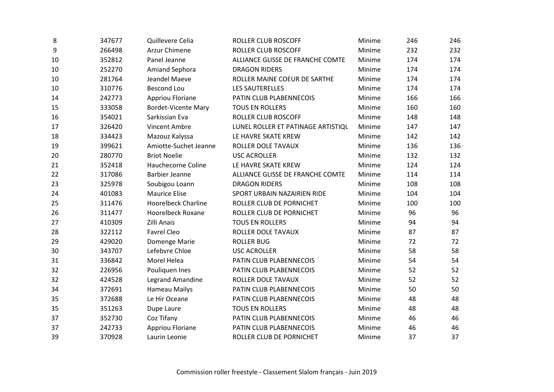| 8  | 347677 | Quillevere Celia           | <b>ROLLER CLUB ROSCOFF</b>         | Minime | 246 | 246 |
|----|--------|----------------------------|------------------------------------|--------|-----|-----|
| 9  | 266498 | Arzur Chimene              | ROLLER CLUB ROSCOFF                | Minime | 232 | 232 |
| 10 | 352812 | Panel Jeanne               | ALLIANCE GLISSE DE FRANCHE COMTE   | Minime | 174 | 174 |
| 10 | 252270 | <b>Amiand Sephora</b>      | <b>DRAGON RIDERS</b>               | Minime | 174 | 174 |
| 10 | 281764 | Jeandel Maeve              | ROLLER MAINE COEUR DE SARTHE       | Minime | 174 | 174 |
| 10 | 310776 | <b>Bescond Lou</b>         | LES SAUTERELLES                    | Minime | 174 | 174 |
| 14 | 242773 | Appriou Floriane           | PATIN CLUB PLABENNECOIS            | Minime | 166 | 166 |
| 15 | 333058 | <b>Bordet-Vicente Mary</b> | <b>TOUS EN ROLLERS</b>             | Minime | 160 | 160 |
| 16 | 354021 | Sarkissian Eva             | ROLLER CLUB ROSCOFF                | Minime | 148 | 148 |
| 17 | 326420 | Vincent Ambre              | LUNEL ROLLER ET PATINAGE ARTISTIQU | Minime | 147 | 147 |
| 18 | 334423 | Mazouz Kalyssa             | LE HAVRE SKATE KREW                | Minime | 142 | 142 |
| 19 | 399621 | Amiotte-Suchet Jeanne      | ROLLER DOLE TAVAUX                 | Minime | 136 | 136 |
| 20 | 280770 | <b>Briot Noelie</b>        | <b>USC ACROLLER</b>                | Minime | 132 | 132 |
| 21 | 352418 | Hauchecorne Coline         | LE HAVRE SKATE KREW                | Minime | 124 | 124 |
| 22 | 317086 | <b>Barbier Jeanne</b>      | ALLIANCE GLISSE DE FRANCHE COMTE   | Minime | 114 | 114 |
| 23 | 325978 | Soubigou Loann             | <b>DRAGON RIDERS</b>               | Minime | 108 | 108 |
| 24 | 401083 | <b>Maurice Elise</b>       | SPORT URBAIN NAZAIRIEN RIDE        | Minime | 104 | 104 |
| 25 | 311476 | <b>Hoorelbeck Charline</b> | ROLLER CLUB DE PORNICHET           | Minime | 100 | 100 |
| 26 | 311477 | <b>Hoorelbeck Roxane</b>   | ROLLER CLUB DE PORNICHET           | Minime | 96  | 96  |
| 27 | 410309 | Zilli Anais                | <b>TOUS EN ROLLERS</b>             | Minime | 94  | 94  |
| 28 | 322112 | <b>Favrel Cleo</b>         | ROLLER DOLE TAVAUX                 | Minime | 87  | 87  |
| 29 | 429020 | Domenge Marie              | <b>ROLLER BUG</b>                  | Minime | 72  | 72  |
| 30 | 343707 | Lefebvre Chloe             | <b>USC ACROLLER</b>                | Minime | 58  | 58  |
| 31 | 336842 | Morel Helea                | PATIN CLUB PLABENNECOIS            | Minime | 54  | 54  |
| 32 | 226956 | Pouliquen Ines             | PATIN CLUB PLABENNECOIS            | Minime | 52  | 52  |
| 32 | 424528 | <b>Legrand Amandine</b>    | ROLLER DOLE TAVAUX                 | Minime | 52  | 52  |
| 34 | 372691 | Hameau Mailys              | PATIN CLUB PLABENNECOIS            | Minime | 50  | 50  |
| 35 | 372688 | Le Hir Oceane              | PATIN CLUB PLABENNECOIS            | Minime | 48  | 48  |
| 35 | 351263 | Dupe Laure                 | <b>TOUS EN ROLLERS</b>             | Minime | 48  | 48  |
| 37 | 352730 | Coz Tifany                 | PATIN CLUB PLABENNECOIS            | Minime | 46  | 46  |
| 37 | 242733 | Appriou Floriane           | PATIN CLUB PLABENNECOIS            | Minime | 46  | 46  |
| 39 | 370928 | Laurin Leonie              | ROLLER CLUB DE PORNICHET           | Minime | 37  | 37  |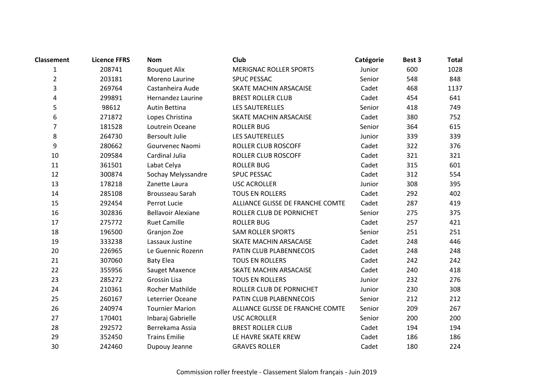| <b>Classement</b> | <b>Licence FFRS</b> | <b>Nom</b>                | Club                             | Catégorie | Best 3 | <b>Total</b> |
|-------------------|---------------------|---------------------------|----------------------------------|-----------|--------|--------------|
| 1                 | 208741              | <b>Bouquet Alix</b>       | <b>MERIGNAC ROLLER SPORTS</b>    | Junior    | 600    | 1028         |
| $\overline{2}$    | 203181              | Moreno Laurine            | <b>SPUC PESSAC</b>               | Senior    | 548    | 848          |
| 3                 | 269764              | Castanheira Aude          | SKATE MACHIN ARSACAISE           | Cadet     | 468    | 1137         |
| 4                 | 299891              | Hernandez Laurine         | <b>BREST ROLLER CLUB</b>         | Cadet     | 454    | 641          |
| 5                 | 98612               | Autin Bettina             | LES SAUTERELLES                  | Senior    | 418    | 749          |
| 6                 | 271872              | Lopes Christina           | SKATE MACHIN ARSACAISE           | Cadet     | 380    | 752          |
| 7                 | 181528              | Loutrein Oceane           | <b>ROLLER BUG</b>                | Senior    | 364    | 615          |
| 8                 | 264730              | <b>Bersoult Julie</b>     | LES SAUTERELLES                  | Junior    | 339    | 339          |
| 9                 | 280662              | Gourvenec Naomi           | <b>ROLLER CLUB ROSCOFF</b>       | Cadet     | 322    | 376          |
| 10                | 209584              | Cardinal Julia            | ROLLER CLUB ROSCOFF              | Cadet     | 321    | 321          |
| 11                | 361501              | Labat Celya               | <b>ROLLER BUG</b>                | Cadet     | 315    | 601          |
| 12                | 300874              | Sochay Melyssandre        | <b>SPUC PESSAC</b>               | Cadet     | 312    | 554          |
| 13                | 178218              | Zanette Laura             | <b>USC ACROLLER</b>              | Junior    | 308    | 395          |
| 14                | 285108              | Brousseau Sarah           | <b>TOUS EN ROLLERS</b>           | Cadet     | 292    | 402          |
| 15                | 292454              | Perrot Lucie              | ALLIANCE GLISSE DE FRANCHE COMTE | Cadet     | 287    | 419          |
| 16                | 302836              | <b>Bellavoir Alexiane</b> | ROLLER CLUB DE PORNICHET         | Senior    | 275    | 375          |
| 17                | 275772              | <b>Ruet Camille</b>       | <b>ROLLER BUG</b>                | Cadet     | 257    | 421          |
| 18                | 196500              | Granjon Zoe               | <b>SAM ROLLER SPORTS</b>         | Senior    | 251    | 251          |
| 19                | 333238              | Lassaux Justine           | SKATE MACHIN ARSACAISE           | Cadet     | 248    | 446          |
| 20                | 226965              | Le Guennic Rozenn         | PATIN CLUB PLABENNECOIS          | Cadet     | 248    | 248          |
| 21                | 307060              | <b>Baty Elea</b>          | <b>TOUS EN ROLLERS</b>           | Cadet     | 242    | 242          |
| 22                | 355956              | Sauget Maxence            | SKATE MACHIN ARSACAISE           | Cadet     | 240    | 418          |
| 23                | 285272              | Grossin Lisa              | <b>TOUS EN ROLLERS</b>           | Junior    | 232    | 276          |
| 24                | 210361              | Rocher Mathilde           | ROLLER CLUB DE PORNICHET         | Junior    | 230    | 308          |
| 25                | 260167              | Leterrier Oceane          | PATIN CLUB PLABENNECOIS          | Senior    | 212    | 212          |
| 26                | 240974              | <b>Tournier Marion</b>    | ALLIANCE GLISSE DE FRANCHE COMTE | Senior    | 209    | 267          |
| 27                | 170401              | Inbaraj Gabrielle         | <b>USC ACROLLER</b>              | Senior    | 200    | 200          |
| 28                | 292572              | Berrekama Assia           | <b>BREST ROLLER CLUB</b>         | Cadet     | 194    | 194          |
| 29                | 352450              | <b>Trains Emilie</b>      | LE HAVRE SKATE KREW              | Cadet     | 186    | 186          |
| 30                | 242460              | Dupouy Jeanne             | <b>GRAVES ROLLER</b>             | Cadet     | 180    | 224          |